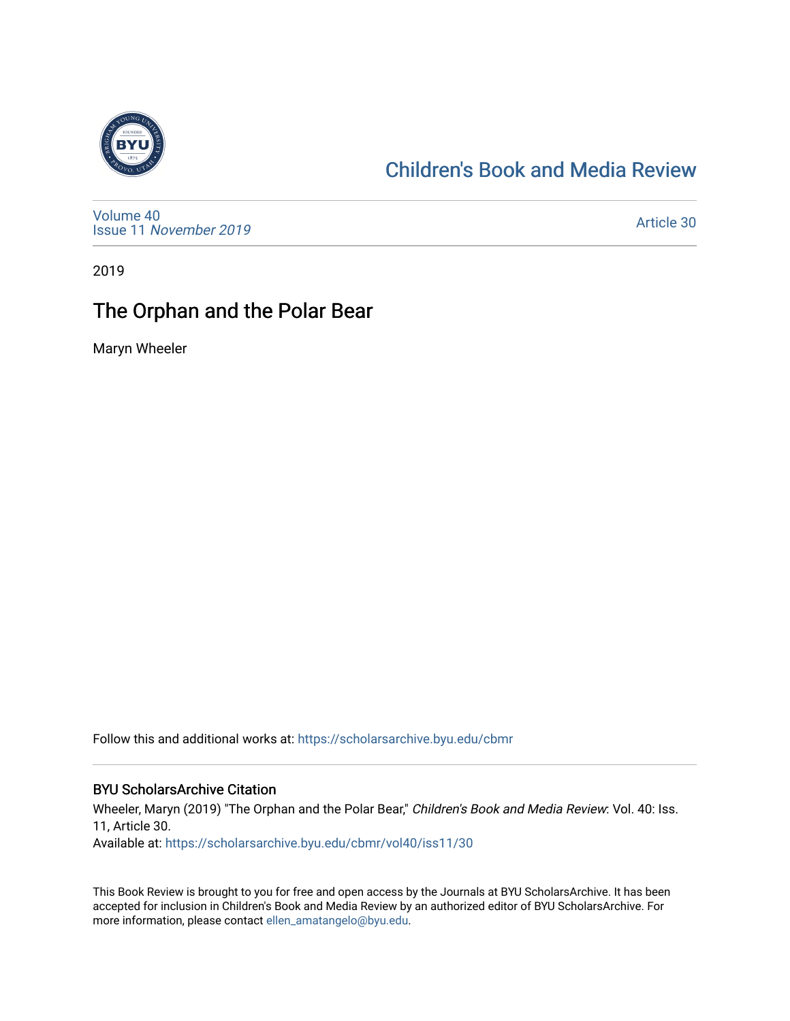

### [Children's Book and Media Review](https://scholarsarchive.byu.edu/cbmr)

[Volume 40](https://scholarsarchive.byu.edu/cbmr/vol40) Issue 11 [November 2019](https://scholarsarchive.byu.edu/cbmr/vol40/iss11) 

[Article 30](https://scholarsarchive.byu.edu/cbmr/vol40/iss11/30) 

2019

## The Orphan and the Polar Bear

Maryn Wheeler

Follow this and additional works at: [https://scholarsarchive.byu.edu/cbmr](https://scholarsarchive.byu.edu/cbmr?utm_source=scholarsarchive.byu.edu%2Fcbmr%2Fvol40%2Fiss11%2F30&utm_medium=PDF&utm_campaign=PDFCoverPages) 

#### BYU ScholarsArchive Citation

Wheeler, Maryn (2019) "The Orphan and the Polar Bear," Children's Book and Media Review: Vol. 40: Iss. 11, Article 30.

Available at: [https://scholarsarchive.byu.edu/cbmr/vol40/iss11/30](https://scholarsarchive.byu.edu/cbmr/vol40/iss11/30?utm_source=scholarsarchive.byu.edu%2Fcbmr%2Fvol40%2Fiss11%2F30&utm_medium=PDF&utm_campaign=PDFCoverPages) 

This Book Review is brought to you for free and open access by the Journals at BYU ScholarsArchive. It has been accepted for inclusion in Children's Book and Media Review by an authorized editor of BYU ScholarsArchive. For more information, please contact [ellen\\_amatangelo@byu.edu.](mailto:ellen_amatangelo@byu.edu)